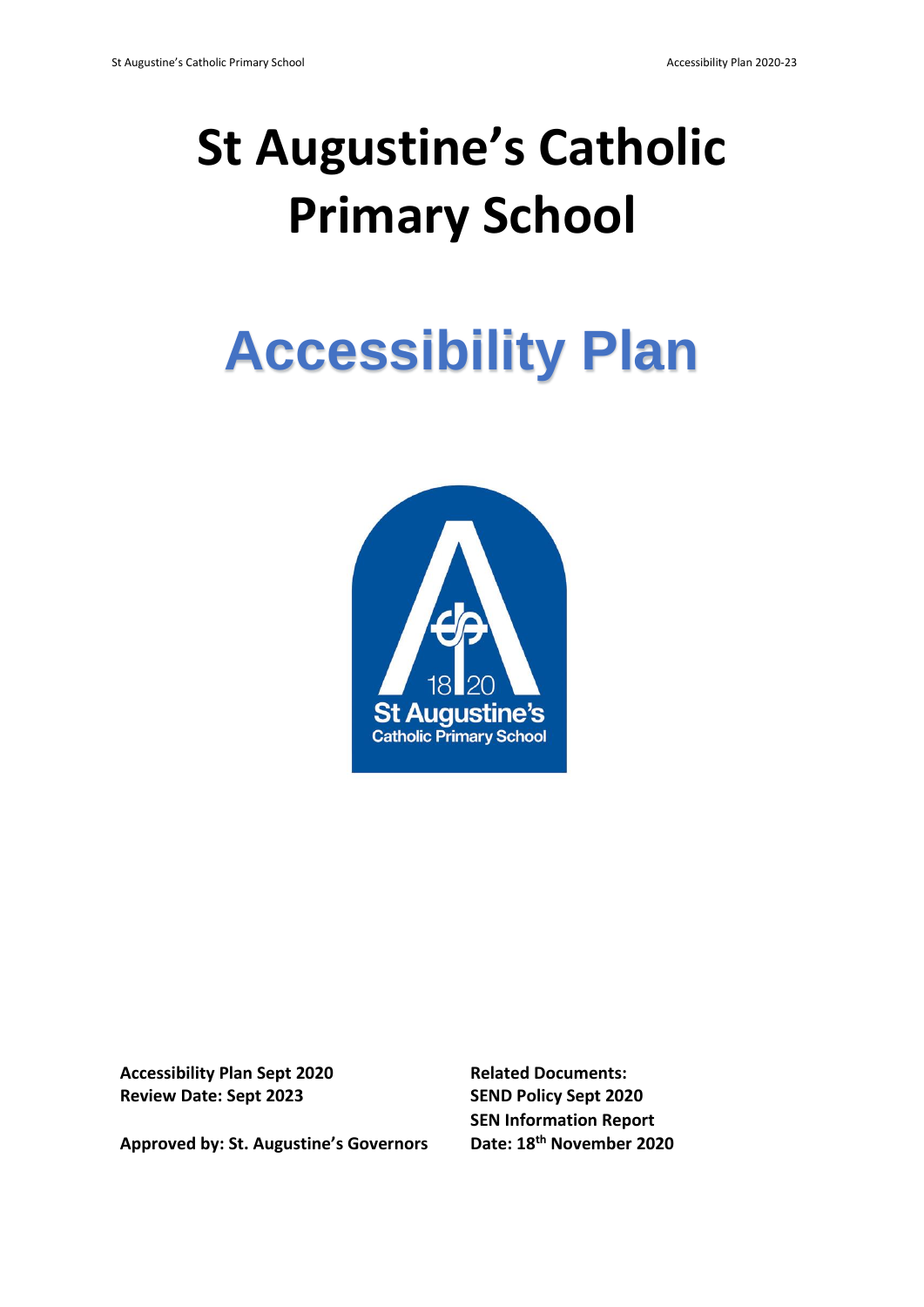## **St Augustine's Catholic Primary School**

# **Accessibility Plan**



**Accessibility Plan Sept 2020 Related Documents: Review Date: Sept 2023 SEND Policy Sept 2020**

**Approved by: St. Augustine's Governors Date: 18th November 2020**

**SEN Information Report**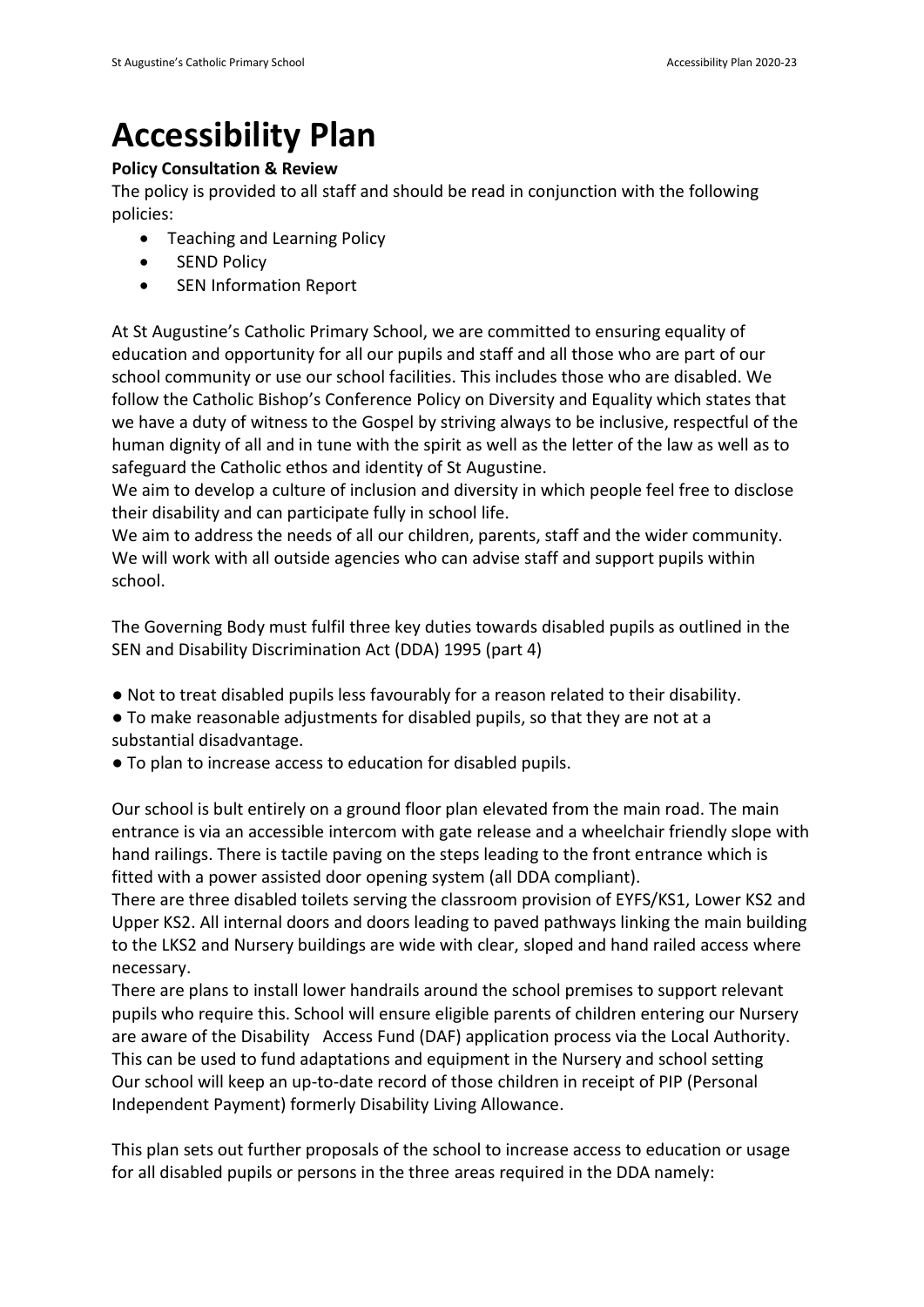### **Accessibility Plan**

#### **Policy Consultation & Review**

The policy is provided to all staff and should be read in conjunction with the following policies:

- Teaching and Learning Policy
- **•** SEND Policy
- SEN Information Report

At St Augustine's Catholic Primary School, we are committed to ensuring equality of education and opportunity for all our pupils and staff and all those who are part of our school community or use our school facilities. This includes those who are disabled. We follow the Catholic Bishop's Conference Policy on Diversity and Equality which states that we have a duty of witness to the Gospel by striving always to be inclusive, respectful of the human dignity of all and in tune with the spirit as well as the letter of the law as well as to safeguard the Catholic ethos and identity of St Augustine.

We aim to develop a culture of inclusion and diversity in which people feel free to disclose their disability and can participate fully in school life.

We aim to address the needs of all our children, parents, staff and the wider community. We will work with all outside agencies who can advise staff and support pupils within school.

The Governing Body must fulfil three key duties towards disabled pupils as outlined in the SEN and Disability Discrimination Act (DDA) 1995 (part 4)

- Not to treat disabled pupils less favourably for a reason related to their disability.
- To make reasonable adjustments for disabled pupils, so that they are not at a substantial disadvantage.
- To plan to increase access to education for disabled pupils.

Our school is bult entirely on a ground floor plan elevated from the main road. The main entrance is via an accessible intercom with gate release and a wheelchair friendly slope with hand railings. There is tactile paving on the steps leading to the front entrance which is fitted with a power assisted door opening system (all DDA compliant).

There are three disabled toilets serving the classroom provision of EYFS/KS1, Lower KS2 and Upper KS2. All internal doors and doors leading to paved pathways linking the main building to the LKS2 and Nursery buildings are wide with clear, sloped and hand railed access where necessary.

There are plans to install lower handrails around the school premises to support relevant pupils who require this. School will ensure eligible parents of children entering our Nursery are aware of the Disability Access Fund (DAF) application process via the Local Authority. This can be used to fund adaptations and equipment in the Nursery and school setting Our school will keep an up-to-date record of those children in receipt of PIP (Personal Independent Payment) formerly Disability Living Allowance.

This plan sets out further proposals of the school to increase access to education or usage for all disabled pupils or persons in the three areas required in the DDA namely: